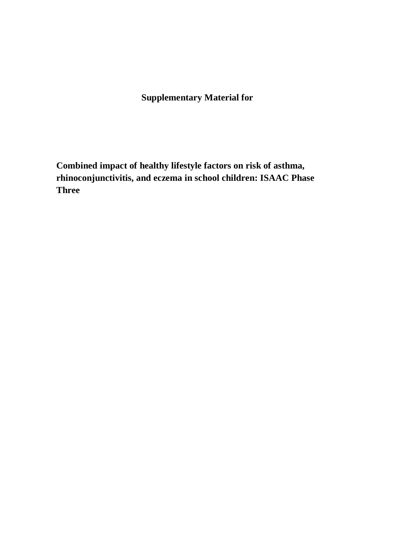**Supplementary Material for**

**Combined impact of healthy lifestyle factors on risk of asthma, rhinoconjunctivitis, and eczema in school children: ISAAC Phase Three**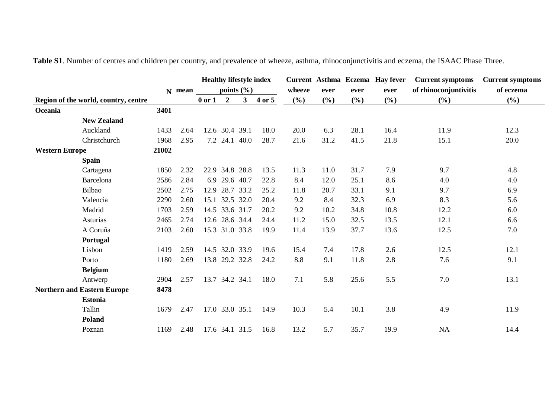|                       |                                      |       |          | <b>Healthy lifestyle index</b> |                  |                |        |      | Current Asthma Eczema Hay fever | <b>Current symptoms</b> | <b>Current symptoms</b> |           |        |
|-----------------------|--------------------------------------|-------|----------|--------------------------------|------------------|----------------|--------|------|---------------------------------|-------------------------|-------------------------|-----------|--------|
|                       |                                      |       | $N$ mean |                                | points $(\% )$   |                | wheeze | ever | ever                            | ever                    | of rhinoconjuntivitis   | of eczema |        |
|                       | Region of the world, country, centre |       |          | $0$ or $1$                     | $\boldsymbol{2}$ | 3 <sup>1</sup> | 4 or 5 | (%)  | $(\%)$                          | $(\%)$                  | (%)                     | $(\%)$    | $(\%)$ |
| Oceania               |                                      | 3401  |          |                                |                  |                |        |      |                                 |                         |                         |           |        |
|                       | <b>New Zealand</b>                   |       |          |                                |                  |                |        |      |                                 |                         |                         |           |        |
|                       | Auckland                             | 1433  | 2.64     |                                | 12.6 30.4 39.1   |                | 18.0   | 20.0 | 6.3                             | 28.1                    | 16.4                    | 11.9      | 12.3   |
|                       | Christchurch                         | 1968  | 2.95     |                                |                  | 7.2 24.1 40.0  | 28.7   | 21.6 | 31.2                            | 41.5                    | 21.8                    | 15.1      | 20.0   |
| <b>Western Europe</b> |                                      | 21002 |          |                                |                  |                |        |      |                                 |                         |                         |           |        |
|                       | <b>Spain</b>                         |       |          |                                |                  |                |        |      |                                 |                         |                         |           |        |
|                       | Cartagena                            | 1850  | 2.32     |                                |                  | 22.9 34.8 28.8 | 13.5   | 11.3 | 11.0                            | 31.7                    | 7.9                     | 9.7       | 4.8    |
|                       | Barcelona                            | 2586  | 2.84     |                                | 6.9 29.6 40.7    |                | 22.8   | 8.4  | 12.0                            | 25.1                    | 8.6                     | 4.0       | 4.0    |
|                       | Bilbao                               | 2502  | 2.75     |                                |                  | 12.9 28.7 33.2 | 25.2   | 11.8 | 20.7                            | 33.1                    | 9.1                     | 9.7       | 6.9    |
|                       | Valencia                             | 2290  | 2.60     |                                |                  | 15.1 32.5 32.0 | 20.4   | 9.2  | 8.4                             | 32.3                    | 6.9                     | 8.3       | 5.6    |
|                       | Madrid                               | 1703  | 2.59     |                                | 14.5 33.6 31.7   |                | 20.2   | 9.2  | 10.2                            | 34.8                    | 10.8                    | 12.2      | 6.0    |
|                       | <b>Asturias</b>                      | 2465  | 2.74     |                                |                  | 12.6 28.6 34.4 | 24.4   | 11.2 | 15.0                            | 32.5                    | 13.5                    | 12.1      | 6.6    |
|                       | A Coruña                             | 2103  | 2.60     |                                |                  | 15.3 31.0 33.8 | 19.9   | 11.4 | 13.9                            | 37.7                    | 13.6                    | 12.5      | 7.0    |
|                       | Portugal                             |       |          |                                |                  |                |        |      |                                 |                         |                         |           |        |
|                       | Lisbon                               | 1419  | 2.59     |                                |                  | 14.5 32.0 33.9 | 19.6   | 15.4 | 7.4                             | 17.8                    | 2.6                     | 12.5      | 12.1   |
|                       | Porto                                | 1180  | 2.69     |                                |                  | 13.8 29.2 32.8 | 24.2   | 8.8  | 9.1                             | 11.8                    | 2.8                     | 7.6       | 9.1    |
|                       | <b>Belgium</b>                       |       |          |                                |                  |                |        |      |                                 |                         |                         |           |        |
|                       | Antwerp                              | 2904  | 2.57     |                                | 13.7 34.2 34.1   |                | 18.0   | 7.1  | 5.8                             | 25.6                    | 5.5                     | 7.0       | 13.1   |
|                       | <b>Northern and Eastern Europe</b>   | 8478  |          |                                |                  |                |        |      |                                 |                         |                         |           |        |
|                       | <b>Estonia</b>                       |       |          |                                |                  |                |        |      |                                 |                         |                         |           |        |
|                       | Tallin                               | 1679  | 2.47     |                                | 17.0 33.0 35.1   |                | 14.9   | 10.3 | 5.4                             | 10.1                    | 3.8                     | 4.9       | 11.9   |
|                       | Poland                               |       |          |                                |                  |                |        |      |                                 |                         |                         |           |        |
|                       | Poznan                               | 1169  | 2.48     |                                |                  | 17.6 34.1 31.5 | 16.8   | 13.2 | 5.7                             | 35.7                    | 19.9                    | NA        | 14.4   |

**Table S1**. Number of centres and children per country, and prevalence of wheeze, asthma, rhinoconjunctivitis and eczema, the ISAAC Phase Three.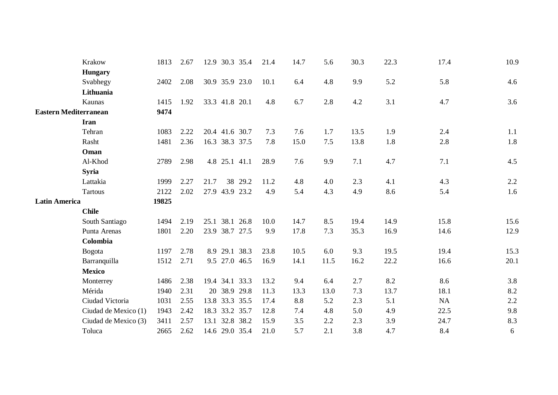|                              | Krakow               | 1813  | 2.67 |      | 12.9 30.3 35.4 |         | 21.4 | 14.7 | 5.6  | 30.3 | 22.3 | 17.4      | 10.9 |
|------------------------------|----------------------|-------|------|------|----------------|---------|------|------|------|------|------|-----------|------|
|                              | <b>Hungary</b>       |       |      |      |                |         |      |      |      |      |      |           |      |
|                              | Svabhegy             | 2402  | 2.08 |      | 30.9 35.9 23.0 |         | 10.1 | 6.4  | 4.8  | 9.9  | 5.2  | 5.8       | 4.6  |
|                              | Lithuania            |       |      |      |                |         |      |      |      |      |      |           |      |
|                              | Kaunas               | 1415  | 1.92 |      | 33.3 41.8 20.1 |         | 4.8  | 6.7  | 2.8  | 4.2  | 3.1  | 4.7       | 3.6  |
| <b>Eastern Mediterranean</b> |                      | 9474  |      |      |                |         |      |      |      |      |      |           |      |
|                              | <b>Iran</b>          |       |      |      |                |         |      |      |      |      |      |           |      |
|                              | Tehran               | 1083  | 2.22 |      | 20.4 41.6 30.7 |         | 7.3  | 7.6  | 1.7  | 13.5 | 1.9  | 2.4       | 1.1  |
|                              | Rasht                | 1481  | 2.36 |      | 16.3 38.3 37.5 |         | 7.8  | 15.0 | 7.5  | 13.8 | 1.8  | 2.8       | 1.8  |
|                              | Oman                 |       |      |      |                |         |      |      |      |      |      |           |      |
|                              | Al-Khod              | 2789  | 2.98 |      | 4.8 25.1 41.1  |         | 28.9 | 7.6  | 9.9  | 7.1  | 4.7  | 7.1       | 4.5  |
|                              | <b>Syria</b>         |       |      |      |                |         |      |      |      |      |      |           |      |
|                              | Lattakia             | 1999  | 2.27 | 21.7 |                | 38 29.2 | 11.2 | 4.8  | 4.0  | 2.3  | 4.1  | 4.3       | 2.2  |
|                              | <b>Tartous</b>       | 2122  | 2.02 |      | 27.9 43.9 23.2 |         | 4.9  | 5.4  | 4.3  | 4.9  | 8.6  | 5.4       | 1.6  |
| <b>Latin America</b>         |                      | 19825 |      |      |                |         |      |      |      |      |      |           |      |
|                              | <b>Chile</b>         |       |      |      |                |         |      |      |      |      |      |           |      |
|                              | South Santiago       | 1494  | 2.19 | 25.1 | 38.1           | 26.8    | 10.0 | 14.7 | 8.5  | 19.4 | 14.9 | 15.8      | 15.6 |
|                              | Punta Arenas         | 1801  | 2.20 | 23.9 | 38.7 27.5      |         | 9.9  | 17.8 | 7.3  | 35.3 | 16.9 | 14.6      | 12.9 |
|                              | Colombia             |       |      |      |                |         |      |      |      |      |      |           |      |
|                              | Bogota               | 1197  | 2.78 | 8.9  | 29.1 38.3      |         | 23.8 | 10.5 | 6.0  | 9.3  | 19.5 | 19.4      | 15.3 |
|                              | Barranquilla         | 1512  | 2.71 |      | 9.5 27.0 46.5  |         | 16.9 | 14.1 | 11.5 | 16.2 | 22.2 | 16.6      | 20.1 |
|                              | <b>Mexico</b>        |       |      |      |                |         |      |      |      |      |      |           |      |
|                              | Monterrey            | 1486  | 2.38 |      | 19.4 34.1 33.3 |         | 13.2 | 9.4  | 6.4  | 2.7  | 8.2  | 8.6       | 3.8  |
|                              | Mérida               | 1940  | 2.31 | 20   | 38.9 29.8      |         | 11.3 | 13.3 | 13.0 | 7.3  | 13.7 | 18.1      | 8.2  |
|                              | Ciudad Victoria      | 1031  | 2.55 |      | 13.8 33.3 35.5 |         | 17.4 | 8.8  | 5.2  | 2.3  | 5.1  | <b>NA</b> | 2.2  |
|                              | Ciudad de Mexico (1) | 1943  | 2.42 |      | 18.3 33.2 35.7 |         | 12.8 | 7.4  | 4.8  | 5.0  | 4.9  | 22.5      | 9.8  |
|                              | Ciudad de Mexico (3) | 3411  | 2.57 |      | 13.1 32.8 38.2 |         | 15.9 | 3.5  | 2.2  | 2.3  | 3.9  | 24.7      | 8.3  |
|                              | Toluca               | 2665  | 2.62 |      | 14.6 29.0 35.4 |         | 21.0 | 5.7  | 2.1  | 3.8  | 4.7  | 8.4       | 6    |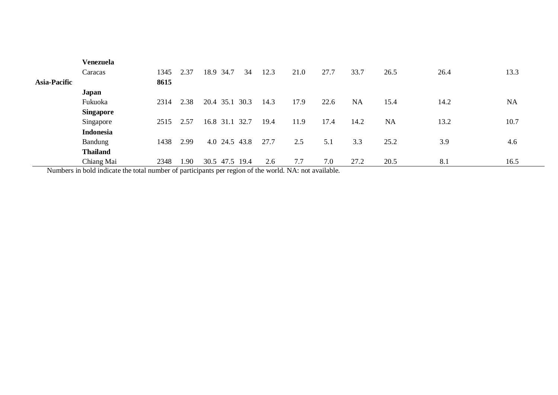|                     | Venezuela        |      |      |                    |      |      |      |           |           |      |           |
|---------------------|------------------|------|------|--------------------|------|------|------|-----------|-----------|------|-----------|
|                     | Caracas          | 1345 | 2.37 | 18.9<br>34.7<br>34 | 12.3 | 21.0 | 27.7 | 33.7      | 26.5      | 26.4 | 13.3      |
| <b>Asia-Pacific</b> |                  | 8615 |      |                    |      |      |      |           |           |      |           |
|                     | Japan            |      |      |                    |      |      |      |           |           |      |           |
|                     | Fukuoka          | 2314 | 2.38 | 20.4 35.1<br>30.3  | 14.3 | 17.9 | 22.6 | <b>NA</b> | 15.4      | 14.2 | <b>NA</b> |
|                     | <b>Singapore</b> |      |      |                    |      |      |      |           |           |      |           |
|                     | Singapore        | 2515 | 2.57 | 32.7<br>16.8 31.1  | 19.4 | 11.9 | 17.4 | 14.2      | <b>NA</b> | 13.2 | 10.7      |
|                     | <b>Indonesia</b> |      |      |                    |      |      |      |           |           |      |           |
|                     | Bandung          | 1438 | 2.99 | 4.0 24.5 43.8      | 27.7 | 2.5  | 5.1  | 3.3       | 25.2      | 3.9  | 4.6       |
|                     | <b>Thailand</b>  |      |      |                    |      |      |      |           |           |      |           |
|                     | Chiang Mai       | 2348 | l.90 | 47.5 19.4<br>30.5  | 2.6  | 7.7  | 7.0  | 27.2      | 20.5      | 8.1  | 16.5      |

Numbers in bold indicate the total number of participants per region of the world. NA: not available.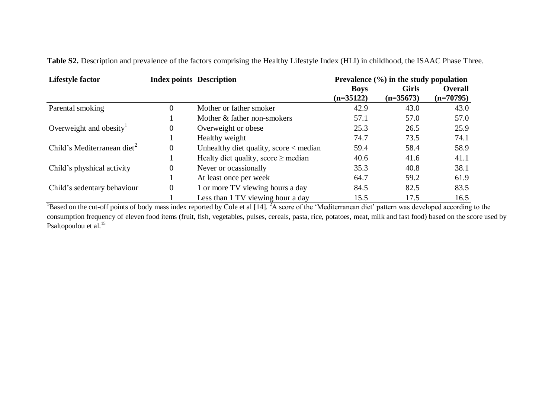| <b>Lifestyle factor</b>                                                                                                                                                                                                                                                                                                                                                              | <b>Index points Description</b> |                                            | Prevalence $(\% )$ in the study population |              |                |  |  |
|--------------------------------------------------------------------------------------------------------------------------------------------------------------------------------------------------------------------------------------------------------------------------------------------------------------------------------------------------------------------------------------|---------------------------------|--------------------------------------------|--------------------------------------------|--------------|----------------|--|--|
|                                                                                                                                                                                                                                                                                                                                                                                      |                                 |                                            | <b>Boys</b>                                | <b>Girls</b> | <b>Overall</b> |  |  |
|                                                                                                                                                                                                                                                                                                                                                                                      |                                 |                                            | $(n=35122)$                                | $(n=35673)$  | $(n=70795)$    |  |  |
| Parental smoking                                                                                                                                                                                                                                                                                                                                                                     | 0                               | Mother or father smoker                    | 42.9                                       | 43.0         | 43.0           |  |  |
|                                                                                                                                                                                                                                                                                                                                                                                      |                                 | Mother & father non-smokers                | 57.1                                       | 57.0         | 57.0           |  |  |
| Overweight and obesity <sup>1</sup>                                                                                                                                                                                                                                                                                                                                                  | $\theta$                        | Overweight or obese                        | 25.3                                       | 26.5         | 25.9           |  |  |
|                                                                                                                                                                                                                                                                                                                                                                                      |                                 | Healthy weight                             | 74.7                                       | 73.5         | 74.1           |  |  |
| Child's Mediterranean diet <sup>2</sup>                                                                                                                                                                                                                                                                                                                                              | 0                               | Unhealthy diet quality, score $\lt$ median | 59.4                                       | 58.4         | 58.9           |  |  |
|                                                                                                                                                                                                                                                                                                                                                                                      |                                 | Healty diet quality, score $\geq$ median   | 40.6                                       | 41.6         | 41.1           |  |  |
| Child's physhical activity                                                                                                                                                                                                                                                                                                                                                           | $\theta$                        | Never or ocassionally                      | 35.3                                       | 40.8         | 38.1           |  |  |
|                                                                                                                                                                                                                                                                                                                                                                                      |                                 | At least once per week                     | 64.7                                       | 59.2         | 61.9           |  |  |
| Child's sedentary behaviour                                                                                                                                                                                                                                                                                                                                                          | 0                               | 1 or more TV viewing hours a day           | 84.5                                       | 82.5         | 83.5           |  |  |
| $\overline{1}$ $\overline{1}$ $\overline{1}$ $\overline{1}$ $\overline{1}$ $\overline{1}$ $\overline{1}$ $\overline{1}$ $\overline{1}$ $\overline{1}$ $\overline{1}$ $\overline{1}$ $\overline{1}$ $\overline{1}$ $\overline{1}$ $\overline{1}$ $\overline{1}$ $\overline{1}$ $\overline{1}$ $\overline{1}$ $\overline{1}$ $\overline{1}$ $\overline{1}$ $\overline{1}$ $\overline{$ |                                 | Less than 1 TV viewing hour a day          | 15.5                                       | 17.5         | 16.5           |  |  |

**Table S2.** Description and prevalence of the factors comprising the Healthy Lifestyle Index (HLI) in childhood, the ISAAC Phase Three.

 $\overline{B}$ Based on the cut-off points of body mass index reported by Cole et al [14]. <sup>2</sup>A score of the 'Mediterranean diet' pattern was developed according to the consumption frequency of eleven food items (fruit, fish, vegetables, pulses, cereals, pasta, rice, potatoes, meat, milk and fast food) based on the score used by Psaltopoulou et al.<sup>15</sup>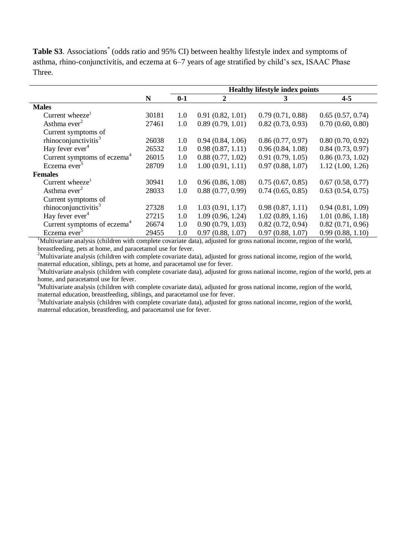Table S3. Associations<sup>\*</sup> (odds ratio and 95% CI) between healthy lifestyle index and symptoms of asthma, rhino-conjunctivitis, and eczema at 6–7 years of age stratified by child's sex, ISAAC Phase Three.

|                                                             | <b>Healthy lifestyle index points</b> |       |                  |                  |                  |  |  |  |
|-------------------------------------------------------------|---------------------------------------|-------|------------------|------------------|------------------|--|--|--|
|                                                             | N                                     | $0-1$ | 2                |                  | $4 - 5$          |  |  |  |
| <b>Males</b>                                                |                                       |       |                  |                  |                  |  |  |  |
| Current wheeze $1$                                          | 30181                                 | 1.0   | 0.91(0.82, 1.01) | 0.79(0.71, 0.88) | 0.65(0.57, 0.74) |  |  |  |
| Asthma ever <sup>2</sup>                                    | 27461                                 | 1.0   | 0.89(0.79, 1.01) | 0.82(0.73, 0.93) | 0.70(0.60, 0.80) |  |  |  |
| Current symptoms of                                         |                                       |       |                  |                  |                  |  |  |  |
| rhinoconjunctivitis $3$                                     | 26038                                 | 1.0   | 0.94(0.84, 1.06) | 0.86(0.77, 0.97) | 0.80(0.70, 0.92) |  |  |  |
| Hay fever $ever4$                                           | 26532                                 | 1.0   | 0.98(0.87, 1.11) | 0.96(0.84, 1.08) | 0.84(0.73, 0.97) |  |  |  |
| Current symptoms of eczema <sup>4</sup>                     | 26015                                 | 1.0   | 0.88(0.77, 1.02) | 0.91(0.79, 1.05) | 0.86(0.73, 1.02) |  |  |  |
| Eczema ever <sup>5</sup>                                    | 28709                                 | 1.0   | 1.00(0.91, 1.11) | 0.97(0.88, 1.07) | 1.12(1.00, 1.26) |  |  |  |
| <b>Females</b>                                              |                                       |       |                  |                  |                  |  |  |  |
| Current wheeze <sup>1</sup>                                 | 30941                                 | 1.0   | 0.96(0.86, 1.08) | 0.75(0.67, 0.85) | 0.67(0.58, 0.77) |  |  |  |
| Asthma ever <sup>2</sup>                                    | 28033                                 | 1.0   | 0.88(0.77, 0.99) | 0.74(0.65, 0.85) | 0.63(0.54, 0.75) |  |  |  |
| Current symptoms of                                         |                                       |       |                  |                  |                  |  |  |  |
| rhinoconjunctivitis $3$                                     | 27328                                 | 1.0   | 1.03(0.91, 1.17) | 0.98(0.87, 1.11) | 0.94(0.81, 1.09) |  |  |  |
| Hay fever ever <sup>4</sup>                                 | 27215                                 | 1.0   | 1.09(0.96, 1.24) | 1.02(0.89, 1.16) | 1.01(0.86, 1.18) |  |  |  |
| Current symptoms of eczema <sup>4</sup>                     | 26674                                 | 1.0   | 0.90(0.79, 1.03) | 0.82(0.72, 0.94) | 0.82(0.71, 0.96) |  |  |  |
| Eczema ever <sup>3</sup><br>.<br>.<br>$\bullet$ . $\bullet$ | 29455                                 | 1.0   | 0.97(0.88, 1.07) | 0.97(0.88, 1.07) | 0.99(0.88, 1.10) |  |  |  |

<sup>1</sup>Multivariate analysis (children with complete covariate data), adjusted for gross national income, region of the world, breastfeeding, pets at home, and paracetamol use for fever.

<sup>2</sup>Multivariate analysis (children with complete covariate data), adjusted for gross national income, region of the world, maternal education, siblings, pets at home, and paracetamol use for fever.

<sup>3</sup>Multivariate analysis (children with complete covariate data), adjusted for gross national income, region of the world, pets at home, and paracetamol use for fever.

<sup>4</sup>Multivariate analysis (children with complete covariate data), adjusted for gross national income, region of the world, maternal education, breastfeeding, siblings, and paracetamol use for fever.

<sup>5</sup>Multivariate analysis (children with complete covariate data), adjusted for gross national income, region of the world, maternal education, breastfeeding, and paracetamol use for fever.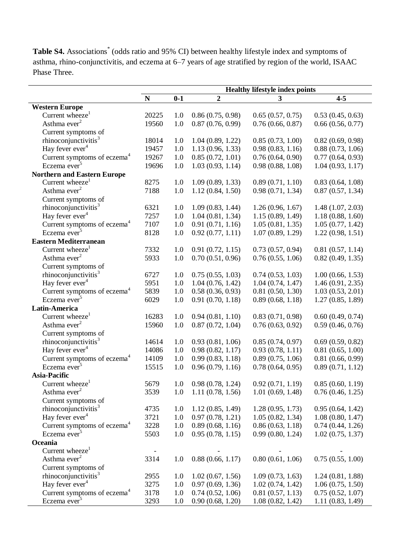Table S4. Associations<sup>\*</sup> (odds ratio and 95% CI) between healthy lifestyle index and symptoms of asthma, rhino-conjunctivitis, and eczema at 6–7 years of age stratified by region of the world, ISAAC Phase Three.

|                                         | <b>Healthy lifestyle index points</b> |         |                  |                  |                  |  |  |  |  |
|-----------------------------------------|---------------------------------------|---------|------------------|------------------|------------------|--|--|--|--|
|                                         | $\mathbf N$                           | $0 - 1$ | $\overline{2}$   | 3                | $4 - 5$          |  |  |  |  |
| <b>Western Europe</b>                   |                                       |         |                  |                  |                  |  |  |  |  |
| Current wheeze $1$                      | 20225                                 | 1.0     | 0.86(0.75, 0.98) | 0.65(0.57, 0.75) | 0.53(0.45, 0.63) |  |  |  |  |
| Asthma ever <sup>2</sup>                | 19560                                 | 1.0     | 0.87(0.76, 0.99) | 0.76(0.66, 0.87) | 0.66(0.56, 0.77) |  |  |  |  |
| Current symptoms of                     |                                       |         |                  |                  |                  |  |  |  |  |
| rhinoconjunctivitis $3$                 | 18014                                 | 1.0     | 1.04(0.89, 1.22) | 0.85(0.73, 1.00) | 0.82(0.69, 0.98) |  |  |  |  |
| Hay fever ever <sup>4</sup>             | 19457                                 | 1.0     | 1.13(0.96, 1.33) | 0.98(0.83, 1.16) | 0.88(0.73, 1.06) |  |  |  |  |
| Current symptoms of eczema <sup>4</sup> | 19267                                 | 1.0     | 0.85(0.72, 1.01) | 0.76(0.64, 0.90) | 0.77(0.64, 0.93) |  |  |  |  |
| Eczema ever <sup>5</sup>                | 19696                                 | 1.0     | 1.03(0.93, 1.14) | 0.98(0.88, 1.08) | 1.04(0.93, 1.17) |  |  |  |  |
| <b>Northern and Eastern Europe</b>      |                                       |         |                  |                  |                  |  |  |  |  |
| Current wheeze $1$                      | 8275                                  | 1.0     | 1.09(0.89, 1.33) | 0.89(0.71, 1.10) | 0.83(0.64, 1.08) |  |  |  |  |
| Asthma ever <sup>2</sup>                | 7188                                  | $1.0\,$ | 1.12(0.84, 1.50) | 0.98(0.71, 1.34) | 0.87(0.57, 1.34) |  |  |  |  |
| Current symptoms of                     |                                       |         |                  |                  |                  |  |  |  |  |
| rhinoconjunctivitis <sup>3</sup>        | 6321                                  | 1.0     | 1.09(0.83, 1.44) | 1.26(0.96, 1.67) | 1.48(1.07, 2.03) |  |  |  |  |
| Hay fever ever <sup>4</sup>             | 7257                                  | 1.0     | 1.04(0.81, 1.34) | 1.15(0.89, 1.49) | 1.18(0.88, 1.60) |  |  |  |  |
| Current symptoms of eczema <sup>4</sup> | 7107                                  | 1.0     | 0.91(0.71, 1.16) | 1.05(0.81, 1.35) | 1.05(0.77, 1.42) |  |  |  |  |
| Eczema ever <sup><math>5</math></sup>   | 8128                                  | 1.0     | 0.92(0.77, 1.11) | 1.07(0.89, 1.29) | 1.22(0.98, 1.51) |  |  |  |  |
| <b>Eastern Mediterranean</b>            |                                       |         |                  |                  |                  |  |  |  |  |
| Current wheeze $1$                      | 7332                                  | 1.0     | 0.91(0.72, 1.15) | 0.73(0.57, 0.94) | 0.81(0.57, 1.14) |  |  |  |  |
| Asthma ever <sup>2</sup>                | 5933                                  | 1.0     | 0.70(0.51, 0.96) | 0.76(0.55, 1.06) | 0.82(0.49, 1.35) |  |  |  |  |
| Current symptoms of                     |                                       |         |                  |                  |                  |  |  |  |  |
| rhinoconjunctivitis <sup>3</sup>        | 6727                                  | 1.0     | 0.75(0.55, 1.03) | 0.74(0.53, 1.03) | 1.00(0.66, 1.53) |  |  |  |  |
| Hay fever ever <sup>4</sup>             | 5951                                  | 1.0     | 1.04(0.76, 1.42) | 1.04(0.74, 1.47) | 1.46(0.91, 2.35) |  |  |  |  |
| Current symptoms of eczema <sup>4</sup> | 5839                                  | 1.0     | 0.58(0.36, 0.93) | 0.81(0.50, 1.30) | 1.03(0.53, 2.01) |  |  |  |  |
| Eczema ever <sup>5</sup>                | 6029                                  | 1.0     | 0.91(0.70, 1.18) | 0.89(0.68, 1.18) | 1.27(0.85, 1.89) |  |  |  |  |
| Latin-America                           |                                       |         |                  |                  |                  |  |  |  |  |
| Current wheeze $1$                      | 16283                                 | 1.0     | 0.94(0.81, 1.10) | 0.83(0.71, 0.98) | 0.60(0.49, 0.74) |  |  |  |  |
| Asthma ever <sup>2</sup>                | 15960                                 | 1.0     | 0.87(0.72, 1.04) | 0.76(0.63, 0.92) | 0.59(0.46, 0.76) |  |  |  |  |
| Current symptoms of                     |                                       |         |                  |                  |                  |  |  |  |  |
| rhinoconjunctivitis <sup>3</sup>        | 14614                                 | 1.0     | 0.93(0.81, 1.06) | 0.85(0.74, 0.97) | 0.69(0.59, 0.82) |  |  |  |  |
| Hay fever ever <sup>4</sup>             | 14086                                 | 1.0     | 0.98(0.82, 1.17) | 0.93(0.78, 1.11) | 0.81(0.65, 1.00) |  |  |  |  |
| Current symptoms of eczema <sup>4</sup> | 14109                                 | 1.0     | 0.99(0.83, 1.18) | 0.89(0.75, 1.06) | 0.81(0.66, 0.99) |  |  |  |  |
| Eczema ever <sup>5</sup>                | 15515                                 | 1.0     | 0.96(0.79, 1.16) | 0.78(0.64, 0.95) | 0.89(0.71, 1.12) |  |  |  |  |
| <b>Asia-Pacific</b>                     |                                       |         |                  |                  |                  |  |  |  |  |
| Current wheeze $1$                      | 5679                                  | 1.0     | 0.98(0.78, 1.24) | 0.92(0.71, 1.19) | 0.85(0.60, 1.19) |  |  |  |  |
| Asthma ever <sup>2</sup>                | 3539                                  | 1.0     | 1.11(0.78, 1.56) | 1.01(0.69, 1.48) | 0.76(0.46, 1.25) |  |  |  |  |
| Current symptoms of                     |                                       |         |                  |                  |                  |  |  |  |  |
| rhinoconjunctivitis <sup>3</sup>        | 4735                                  | 1.0     | 1.12(0.85, 1.49) | 1.28(0.95, 1.73) | 0.95(0.64, 1.42) |  |  |  |  |
| Hay fever ever <sup>4</sup>             | 3721                                  | 1.0     | 0.97(0.78, 1.21) | 1.05(0.82, 1.34) | 1.08(0.80, 1.47) |  |  |  |  |
| Current symptoms of eczema <sup>4</sup> | 3228                                  | 1.0     | 0.89(0.68, 1.16) | 0.86(0.63, 1.18) | 0.74(0.44, 1.26) |  |  |  |  |
| Eczema ever <sup>5</sup>                | 5503                                  | 1.0     | 0.95(0.78, 1.15) | 0.99(0.80, 1.24) | 1.02(0.75, 1.37) |  |  |  |  |
| <b>Oceania</b>                          |                                       |         |                  |                  |                  |  |  |  |  |
| Current wheeze $1$                      |                                       |         |                  |                  |                  |  |  |  |  |
| Asthma ever <sup>2</sup>                | 3314                                  | 1.0     | 0.88(0.66, 1.17) | 0.80(0.61, 1.06) | 0.75(0.55, 1.00) |  |  |  |  |
| Current symptoms of                     |                                       |         |                  |                  |                  |  |  |  |  |
| rhinoconjunctivitis <sup>3</sup>        | 2955                                  | 1.0     | 1.02(0.67, 1.56) | 1.09(0.73, 1.63) | 1.24(0.81, 1.88) |  |  |  |  |
| Hay fever ever <sup>4</sup>             | 3275                                  | 1.0     | 0.97(0.69, 1.36) | 1.02(0.74, 1.42) | 1.06(0.75, 1.50) |  |  |  |  |
| Current symptoms of eczema <sup>4</sup> | 3178                                  | 1.0     | 0.74(0.52, 1.06) | 0.81(0.57, 1.13) | 0.75(0.52, 1.07) |  |  |  |  |
| Eczema ever <sup>5</sup>                | 3293                                  | 1.0     | 0.90(0.68, 1.20) | 1.08(0.82, 1.42) | 1.11(0.83, 1.49) |  |  |  |  |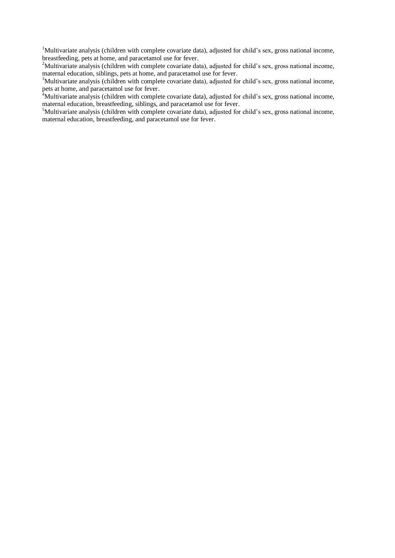<sup>1</sup>Multivariate analysis (children with complete covariate data), adjusted for child's sex, gross national income, breastfeeding, pets at home, and paracetamol use for fever.

<sup>2</sup>Multivariate analysis (children with complete covariate data), adjusted for child's sex, gross national income, maternal education, siblings, pets at home, and paracetamol use for fever.

 $3$ Multivariate analysis (children with complete covariate data), adjusted for child's sex, gross national income, pets at home, and paracetamol use for fever.

 $^{4}$ Multivariate analysis (children with complete covariate data), adjusted for child's sex, gross national income, maternal education, breastfeeding, siblings, and paracetamol use for fever.

<sup>5</sup>Multivariate analysis (children with complete covariate data), adjusted for child's sex, gross national income, maternal education, breastfeeding, and paracetamol use for fever.